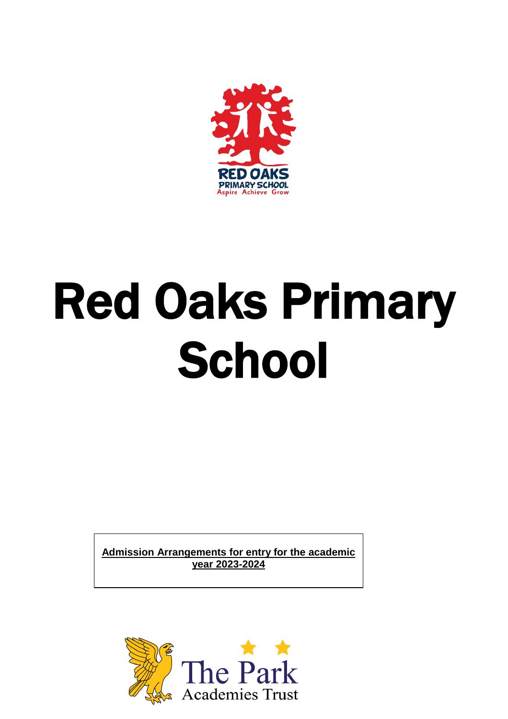

# Red Oaks Primary **School**

**Admission Arrangements for entry for the academic year 2023-2024**

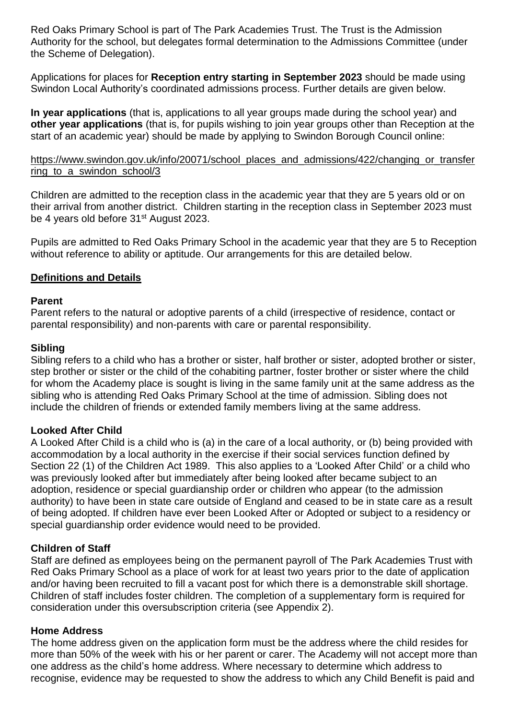Red Oaks Primary School is part of The Park Academies Trust. The Trust is the Admission Authority for the school, but delegates formal determination to the Admissions Committee (under the Scheme of Delegation).

Applications for places for **Reception entry starting in September 2023** should be made using Swindon Local Authority's coordinated admissions process. Further details are given below.

**In year applications** (that is, applications to all year groups made during the school year) and **other year applications** (that is, for pupils wishing to join year groups other than Reception at the start of an academic year) should be made by applying to Swindon Borough Council online:

### [https://www.swindon.gov.uk/info/20071/school\\_places\\_and\\_admissions/422/changing\\_or\\_transfer](https://www.swindon.gov.uk/info/20071/school_places_and_admissions/422/changing_or_transferring_to_a_swindon_school/3) [ring\\_to\\_a\\_swindon\\_school/3](https://www.swindon.gov.uk/info/20071/school_places_and_admissions/422/changing_or_transferring_to_a_swindon_school/3)

Children are admitted to the reception class in the academic year that they are 5 years old or on their arrival from another district. Children starting in the reception class in September 2023 must be 4 years old before 31<sup>st</sup> August 2023.

Pupils are admitted to Red Oaks Primary School in the academic year that they are 5 to Reception without reference to ability or aptitude. Our arrangements for this are detailed below.

### **Definitions and Details**

### **Parent**

Parent refers to the natural or adoptive parents of a child (irrespective of residence, contact or parental responsibility) and non-parents with care or parental responsibility.

### **Sibling**

Sibling refers to a child who has a brother or sister, half brother or sister, adopted brother or sister, step brother or sister or the child of the cohabiting partner, foster brother or sister where the child for whom the Academy place is sought is living in the same family unit at the same address as the sibling who is attending Red Oaks Primary School at the time of admission. Sibling does not include the children of friends or extended family members living at the same address.

# **Looked After Child**

A Looked After Child is a child who is (a) in the care of a local authority, or (b) being provided with accommodation by a local authority in the exercise if their social services function defined by Section 22 (1) of the Children Act 1989.This also applies to a 'Looked After Child' or a child who was previously looked after but immediately after being looked after became subject to an adoption, residence or special guardianship order or children who appear (to the admission authority) to have been in state care outside of England and ceased to be in state care as a result of being adopted. If children have ever been Looked After or Adopted or subject to a residency or special guardianship order evidence would need to be provided.

# **Children of Staff**

Staff are defined as employees being on the permanent payroll of The Park Academies Trust with Red Oaks Primary School as a place of work for at least two years prior to the date of application and/or having been recruited to fill a vacant post for which there is a demonstrable skill shortage. Children of staff includes foster children. The completion of a supplementary form is required for consideration under this oversubscription criteria (see Appendix 2).

### **Home Address**

The home address given on the application form must be the address where the child resides for more than 50% of the week with his or her parent or carer. The Academy will not accept more than one address as the child's home address. Where necessary to determine which address to recognise, evidence may be requested to show the address to which any Child Benefit is paid and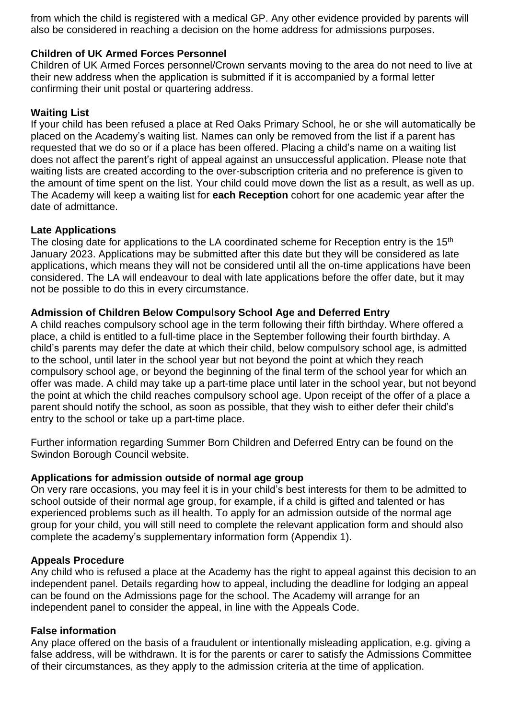from which the child is registered with a medical GP. Any other evidence provided by parents will also be considered in reaching a decision on the home address for admissions purposes.

### **Children of UK Armed Forces Personnel**

Children of UK Armed Forces personnel/Crown servants moving to the area do not need to live at their new address when the application is submitted if it is accompanied by a formal letter confirming their unit postal or quartering address.

# **Waiting List**

If your child has been refused a place at Red Oaks Primary School, he or she will automatically be placed on the Academy's waiting list. Names can only be removed from the list if a parent has requested that we do so or if a place has been offered. Placing a child's name on a waiting list does not affect the parent's right of appeal against an unsuccessful application. Please note that waiting lists are created according to the over-subscription criteria and no preference is given to the amount of time spent on the list. Your child could move down the list as a result, as well as up. The Academy will keep a waiting list for **each Reception** cohort for one academic year after the date of admittance.

### **Late Applications**

The closing date for applications to the LA coordinated scheme for Reception entry is the 15<sup>th</sup> January 2023. Applications may be submitted after this date but they will be considered as late applications, which means they will not be considered until all the on-time applications have been considered. The LA will endeavour to deal with late applications before the offer date, but it may not be possible to do this in every circumstance.

### **Admission of Children Below Compulsory School Age and Deferred Entry**

A child reaches compulsory school age in the term following their fifth birthday. Where offered a place, a child is entitled to a full-time place in the September following their fourth birthday. A child's parents may defer the date at which their child, below compulsory school age, is admitted to the school, until later in the school year but not beyond the point at which they reach compulsory school age, or beyond the beginning of the final term of the school year for which an offer was made. A child may take up a part-time place until later in the school year, but not beyond the point at which the child reaches compulsory school age. Upon receipt of the offer of a place a parent should notify the school, as soon as possible, that they wish to either defer their child's entry to the school or take up a part-time place.

Further information regarding Summer Born Children and Deferred Entry can be found on the Swindon Borough Council website.

### **Applications for admission outside of normal age group**

On very rare occasions, you may feel it is in your child's best interests for them to be admitted to school outside of their normal age group, for example, if a child is gifted and talented or has experienced problems such as ill health. To apply for an admission outside of the normal age group for your child, you will still need to complete the relevant application form and should also complete the academy's supplementary information form (Appendix 1).

### **Appeals Procedure**

Any child who is refused a place at the Academy has the right to appeal against this decision to an independent panel. Details regarding how to appeal, including the deadline for lodging an appeal can be found on the Admissions page for the school. The Academy will arrange for an independent panel to consider the appeal, in line with the Appeals Code.

### **False information**

Any place offered on the basis of a fraudulent or intentionally misleading application, e.g. giving a false address, will be withdrawn. It is for the parents or carer to satisfy the Admissions Committee of their circumstances, as they apply to the admission criteria at the time of application.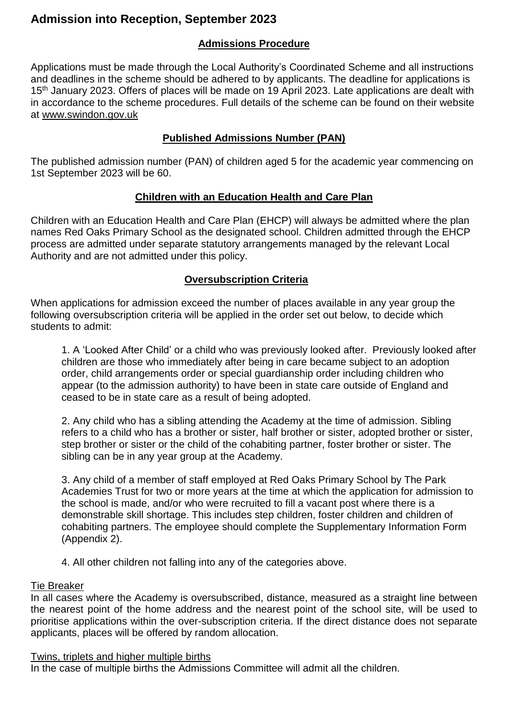# **Admission into Reception, September 2023**

# **Admissions Procedure**

Applications must be made through the Local Authority's Coordinated Scheme and all instructions and deadlines in the scheme should be adhered to by applicants. The deadline for applications is 15th January 2023. Offers of places will be made on 19 April 2023. Late applications are dealt with in accordance to the scheme procedures. Full details of the scheme can be found on their website at [www.swindon.gov.uk](http://www.swindon.gov.uk/)

# **Published Admissions Number (PAN)**

The published admission number (PAN) of children aged 5 for the academic year commencing on 1st September 2023 will be 60.

# **Children with an Education Health and Care Plan**

Children with an Education Health and Care Plan (EHCP) will always be admitted where the plan names Red Oaks Primary School as the designated school. Children admitted through the EHCP process are admitted under separate statutory arrangements managed by the relevant Local Authority and are not admitted under this policy.

# **Oversubscription Criteria**

When applications for admission exceed the number of places available in any year group the following oversubscription criteria will be applied in the order set out below, to decide which students to admit:

1. A 'Looked After Child' or a child who was previously looked after. Previously looked after children are those who immediately after being in care became subject to an adoption order, child arrangements order or special guardianship order including children who appear (to the admission authority) to have been in state care outside of England and ceased to be in state care as a result of being adopted.

2. Any child who has a sibling attending the Academy at the time of admission. Sibling refers to a child who has a brother or sister, half brother or sister, adopted brother or sister, step brother or sister or the child of the cohabiting partner, foster brother or sister. The sibling can be in any year group at the Academy.

3. Any child of a member of staff employed at Red Oaks Primary School by The Park Academies Trust for two or more years at the time at which the application for admission to the school is made, and/or who were recruited to fill a vacant post where there is a demonstrable skill shortage. This includes step children, foster children and children of cohabiting partners. The employee should complete the Supplementary Information Form (Appendix 2).

4. All other children not falling into any of the categories above.

### Tie Breaker

In all cases where the Academy is oversubscribed, distance, measured as a straight line between the nearest point of the home address and the nearest point of the school site, will be used to prioritise applications within the over-subscription criteria. If the direct distance does not separate applicants, places will be offered by random allocation.

### Twins, triplets and higher multiple births

In the case of multiple births the Admissions Committee will admit all the children.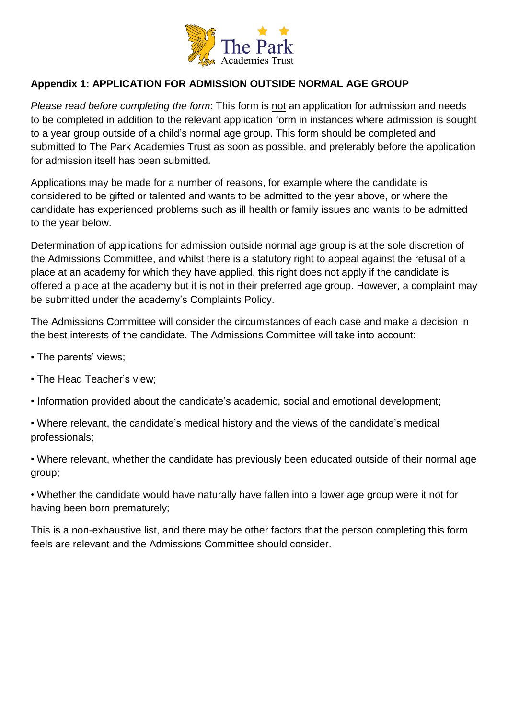

# **Appendix 1: APPLICATION FOR ADMISSION OUTSIDE NORMAL AGE GROUP**

*Please read before completing the form*: This form is not an application for admission and needs to be completed in addition to the relevant application form in instances where admission is sought to a year group outside of a child's normal age group. This form should be completed and submitted to The Park Academies Trust as soon as possible, and preferably before the application for admission itself has been submitted.

Applications may be made for a number of reasons, for example where the candidate is considered to be gifted or talented and wants to be admitted to the year above, or where the candidate has experienced problems such as ill health or family issues and wants to be admitted to the year below.

Determination of applications for admission outside normal age group is at the sole discretion of the Admissions Committee, and whilst there is a statutory right to appeal against the refusal of a place at an academy for which they have applied, this right does not apply if the candidate is offered a place at the academy but it is not in their preferred age group. However, a complaint may be submitted under the academy's Complaints Policy.

The Admissions Committee will consider the circumstances of each case and make a decision in the best interests of the candidate. The Admissions Committee will take into account:

- The parents' views;
- The Head Teacher's view;
- Information provided about the candidate's academic, social and emotional development;
- Where relevant, the candidate's medical history and the views of the candidate's medical professionals;

• Where relevant, whether the candidate has previously been educated outside of their normal age group;

• Whether the candidate would have naturally have fallen into a lower age group were it not for having been born prematurely;

This is a non-exhaustive list, and there may be other factors that the person completing this form feels are relevant and the Admissions Committee should consider.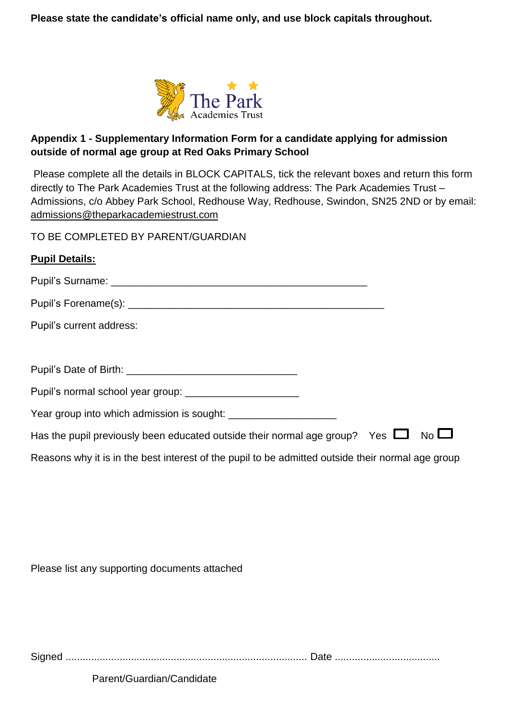**Please state the candidate's official name only, and use block capitals throughout.**



# **Appendix 1 - Supplementary Information Form for a candidate applying for admission outside of normal age group at Red Oaks Primary School**

Please complete all the details in BLOCK CAPITALS, tick the relevant boxes and return this form directly to The Park Academies Trust at the following address: The Park Academies Trust – Admissions, c/o Abbey Park School, Redhouse Way, Redhouse, Swindon, SN25 2ND or by email: [admissions@theparkacademiestrust.com](mailto:admissions@theparkacademiestrust.com)

TO BE COMPLETED BY PARENT/GUARDIAN

| <b>Pupil Details:</b>                                                                             |
|---------------------------------------------------------------------------------------------------|
|                                                                                                   |
|                                                                                                   |
| Pupil's current address:                                                                          |
|                                                                                                   |
|                                                                                                   |
| Pupil's normal school year group: _______________________                                         |
| Year group into which admission is sought:                                                        |
| Has the pupil previously been educated outside their normal age group? Yes $\Box$<br>$No$ $\Box$  |
| Reasons why it is in the best interest of the pupil to be admitted outside their normal age group |
|                                                                                                   |

Please list any supporting documents attached

Signed ..................................................................................... Date .....................................

Parent/Guardian/Candidate